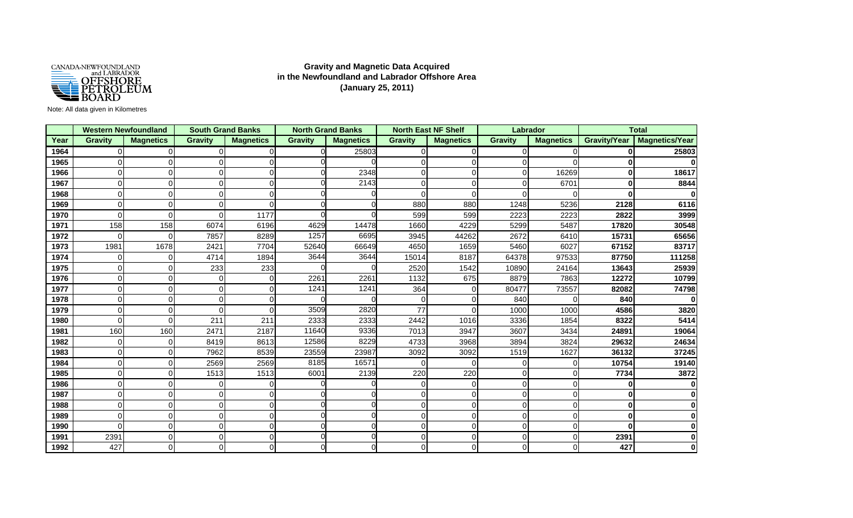

## **Gravity and Magnetic Data Acquired in the Newfoundland and Labrador Offshore Area (January 25, 2011)**

## Note: All data given in Kilometres

|      |                | <b>Western Newfoundland</b> |                | <b>South Grand Banks</b> |                | <b>North Grand Banks</b> |                | <b>North East NF Shelf</b> | Labrador       |                  |                     | <b>Total</b>          |
|------|----------------|-----------------------------|----------------|--------------------------|----------------|--------------------------|----------------|----------------------------|----------------|------------------|---------------------|-----------------------|
| Year | <b>Gravity</b> | <b>Magnetics</b>            | <b>Gravity</b> | <b>Magnetics</b>         | <b>Gravity</b> | <b>Magnetics</b>         | <b>Gravity</b> | <b>Magnetics</b>           | <b>Gravity</b> | <b>Magnetics</b> | <b>Gravity/Year</b> | <b>Magnetics/Year</b> |
| 1964 | $\Omega$       | $\Omega$                    | $\Omega$       | $\Omega$                 | $\Omega$       | 25803                    | $\Omega$       | $\Omega$                   | ი              | O                | $\mathbf{0}$        | 25803                 |
| 1965 | $\Omega$       | $\Omega$                    | $\Omega$       | U                        |                |                          |                | $\Omega$                   | 0              | ∩                | $\mathbf{0}$        |                       |
| 1966 | 0              | O                           | $\Omega$       | U                        |                | 2348                     |                | $\Omega$                   | n              | 16269            | $\bf{0}$            | 18617                 |
| 1967 | $\Omega$       | $\Omega$                    | $\Omega$       | ∩                        |                | 2143                     |                | $\Omega$                   |                | 6701             | $\bf{0}$            | 8844                  |
| 1968 | $\Omega$       | 0                           | $\Omega$       | U                        |                |                          |                | $\Omega$                   | n              |                  | $\mathbf{0}$        | $\bf{0}$              |
| 1969 | $\Omega$       | 0                           | $\Omega$       | U                        | ∩              |                          | 880            | 880                        | 1248           | 5236             | 2128                | 6116                  |
| 1970 | $\Omega$       | ∩                           | ∩              | 1177                     |                |                          | 599            | 599                        | 2223           | 2223             | 2822                | 3999                  |
| 1971 | 158            | 158                         | 6074           | 6196                     | 4629           | 14478                    | 1660           | 4229                       | 5299           | 5487             | 17820               | 30548                 |
| 1972 | 0              | $\Omega$                    | 7857           | 8289                     | 1257           | 6695                     | 3945           | 44262                      | 2672           | 6410             | 15731               | 65656                 |
| 1973 | 1981           | 1678                        | 2421           | 7704                     | 52640          | 66649                    | 4650           | 1659                       | 5460           | 6027             | 67152               | 83717                 |
| 1974 | 0              | $\Omega$                    | 4714           | 1894                     | 3644           | 3644                     | 15014          | 8187                       | 64378          | 97533            | 87750               | 111258                |
| 1975 | 0              | 0                           | 233            | 233                      |                |                          | 2520           | 1542                       | 10890          | 24164            | 13643               | 25939                 |
| 1976 | 0              | $\Omega$                    | $\Omega$       | $\Omega$                 | 2261           | 2261                     | 1132           | 675                        | 8879           | 7863             | 12272               | 10799                 |
| 1977 | 0              | $\Omega$                    | $\Omega$       | ∩                        | 1241           | 1241                     | 364            | $\Omega$                   | 80477          | 73557            | 82082               | 74798                 |
| 1978 | 0              | ∩                           | $\Omega$       | U                        |                |                          |                | $\Omega$                   | 840            |                  | 840                 | $\bf{0}$              |
| 1979 | $\Omega$       | $\Omega$                    | $\Omega$       | U                        | 3509           | 2820                     | 77             | $\Omega$                   | 1000           | 1000             | 4586                | 3820                  |
| 1980 | 0              | 0                           | 211            | 211                      | 2333           | 2333                     | 2442           | 1016                       | 3336           | 1854             | 8322                | 5414                  |
| 1981 | 160            | 160                         | 2471           | 2187                     | 11640          | 9336                     | 7013           | 3947                       | 3607           | 3434             | 24891               | 19064                 |
| 1982 | $\Omega$       | $\Omega$                    | 8419           | 8613                     | 12586          | 8229                     | 4733           | 3968                       | 3894           | 3824             | 29632               | 24634                 |
| 1983 | 0              | $\Omega$                    | 7962           | 8539                     | 23559          | 23987                    | 3092           | 3092                       | 1519           | 1627             | 36132               | 37245                 |
| 1984 | $\Omega$       | $\Omega$                    | 2569           | 2569                     | 8185           | 16571                    | $\Omega$       | $\Omega$                   | ი              | O                | 10754               | 19140                 |
| 1985 | 0              | 0                           | 1513           | 1513                     | 6001           | 2139                     | 220            | 220                        | 0              | ∩                | 7734                | 3872                  |
| 1986 | $\Omega$       | 0                           | $\Omega$       | <sup>0</sup>             | ∩              |                          | $\Omega$       | $\Omega$                   | 0              |                  | $\bf{0}$            | $\bf{0}$              |
| 1987 | $\Omega$       | $\Omega$                    | $\Omega$       | ∩                        |                |                          |                | $\Omega$                   | 0              | $\Omega$         | $\bf{0}$            | $\bf{0}$              |
| 1988 | 0              | O                           | $\Omega$       | ∩                        |                |                          |                | $\Omega$                   | 0              | ∩                | $\bf{0}$            | $\bf{0}$              |
| 1989 | $\Omega$       | $\Omega$                    | $\Omega$       | $\Omega$                 | $\Omega$       |                          | O              | $\Omega$                   | 0              | $\Omega$         | $\bf{0}$            | $\bf{0}$              |
| 1990 | 0              | 0                           | $\Omega$       | U                        | $\Omega$       |                          |                | $\Omega$                   | 0              |                  | $\Omega$            | <sup>0</sup>          |
| 1991 | 2391           | 0                           | $\Omega$       | ∩                        | $\Omega$       |                          |                | $\Omega$                   | U              |                  | 2391                |                       |
| 1992 | 427            | ∩                           | ∩              |                          | $\Omega$       |                          |                |                            |                |                  | 427                 |                       |